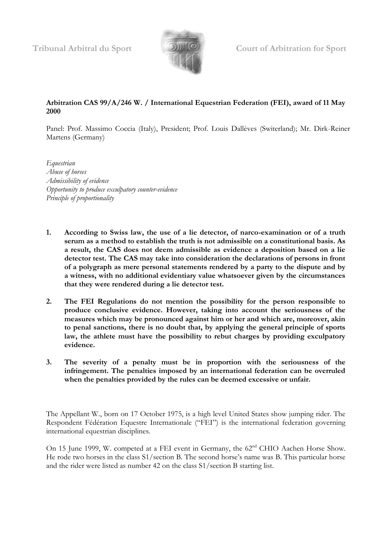

**Tribunal Arbitral du Sport Court of Arbitration for Sport**

## **Arbitration CAS 99/A/246 W. / International Equestrian Federation (FEI), award of 11 May 2000**

Panel: Prof. Massimo Coccia (Italy), President; Prof. Louis Dallèves (Switerland); Mr. Dirk-Reiner Martens (Germany)

*Equestrian Abuse of horses Admissibility of evidence Opportunity to produce exculpatory counter-evidence Principle of proportionality*

- **1. According to Swiss law, the use of a lie detector, of narco-examination or of a truth serum as a method to establish the truth is not admissible on a constitutional basis. As a result, the CAS does not deem admissible as evidence a deposition based on a lie detector test. The CAS may take into consideration the declarations of persons in front of a polygraph as mere personal statements rendered by a party to the dispute and by a witness, with no additional evidentiary value whatsoever given by the circumstances that they were rendered during a lie detector test.**
- **2. The FEI Regulations do not mention the possibility for the person responsible to produce conclusive evidence. However, taking into account the seriousness of the measures which may be pronounced against him or her and which are, moreover, akin to penal sanctions, there is no doubt that, by applying the general principle of sports law, the athlete must have the possibility to rebut charges by providing exculpatory evidence.**
- **3. The severity of a penalty must be in proportion with the seriousness of the infringement. The penalties imposed by an international federation can be overruled when the penalties provided by the rules can be deemed excessive or unfair.**

The Appellant W., born on 17 October 1975, is a high level United States show jumping rider. The Respondent Fédération Equestre Internationale ("FEI") is the international federation governing international equestrian disciplines.

On 15 June 1999, W. competed at a FEI event in Germany, the 62<sup>nd</sup> CHIO Aachen Horse Show. He rode two horses in the class S1/section B. The second horse's name was B. This particular horse and the rider were listed as number 42 on the class S1/section B starting list.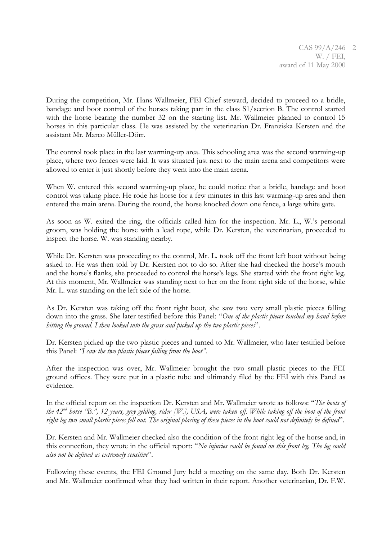During the competition, Mr. Hans Wallmeier, FEI Chief steward, decided to proceed to a bridle, bandage and boot control of the horses taking part in the class S1/section B. The control started with the horse bearing the number 32 on the starting list. Mr. Wallmeier planned to control 15 horses in this particular class. He was assisted by the veterinarian Dr. Franziska Kersten and the assistant Mr. Marco Müller-Dörr.

The control took place in the last warming-up area. This schooling area was the second warming-up place, where two fences were laid. It was situated just next to the main arena and competitors were allowed to enter it just shortly before they went into the main arena.

When W. entered this second warming-up place, he could notice that a bridle, bandage and boot control was taking place. He rode his horse for a few minutes in this last warming-up area and then entered the main arena. During the round, the horse knocked down one fence, a large white gate.

As soon as W. exited the ring, the officials called him for the inspection. Mr. L., W.'s personal groom, was holding the horse with a lead rope, while Dr. Kersten, the veterinarian, proceeded to inspect the horse. W. was standing nearby.

While Dr. Kersten was proceeding to the control, Mr. L. took off the front left boot without being asked to. He was then told by Dr. Kersten not to do so. After she had checked the horse's mouth and the horse's flanks, she proceeded to control the horse's legs. She started with the front right leg. At this moment, Mr. Wallmeier was standing next to her on the front right side of the horse, while Mr. L. was standing on the left side of the horse.

As Dr. Kersten was taking off the front right boot, she saw two very small plastic pieces falling down into the grass. She later testified before this Panel: "*One of the plastic pieces touched my hand before hitting the ground. I then looked into the grass and picked up the two plastic pieces*".

Dr. Kersten picked up the two plastic pieces and turned to Mr. Wallmeier, who later testified before this Panel: *"I saw the two plastic pieces falling from the boot"*.

After the inspection was over, Mr. Wallmeier brought the two small plastic pieces to the FEI ground offices. They were put in a plastic tube and ultimately filed by the FEI with this Panel as evidence.

In the official report on the inspection Dr. Kersten and Mr. Wallmeier wrote as follows: "*The boots of the 42nd horse "B.", 12 years, grey gelding, rider [W.], USA, were taken off. While taking off the boot of the front right leg two small plastic pieces fell out. The original placing of these pieces in the boot could not definitely be defined*".

Dr. Kersten and Mr. Wallmeier checked also the condition of the front right leg of the horse and, in this connection, they wrote in the official report: "*No injuries could be found on this front leg, The leg could also not be defined as extremely sensitive*".

Following these events, the FEI Ground Jury held a meeting on the same day. Both Dr. Kersten and Mr. Wallmeier confirmed what they had written in their report. Another veterinarian, Dr. F.W.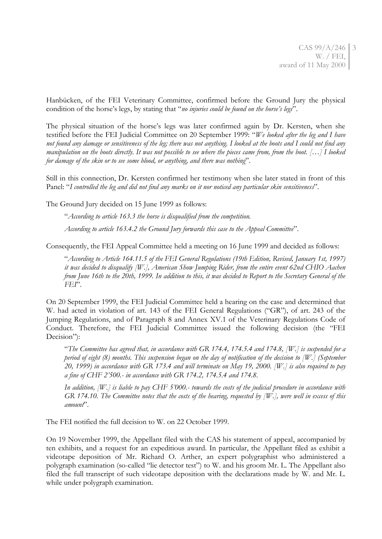Hanbücken, of the FEI Veterinary Committee, confirmed before the Ground Jury the physical condition of the horse's legs, by stating that "*no injuries could be found on the horse"s legs*".

The physical situation of the horse's legs was later confirmed again by Dr. Kersten, when she testified before the FEI Judicial Committee on 20 September 1999: "*We looked after the leg and I have not found any damage or sensitiveness of the leg; there was not anything. I looked at the boots and I could not find any manipulation on the boots directly. It was not possible to see where the pieces came from, from the boot. […] I looked for damage of the skin or to see some blood, or anything, and there was nothing*".

Still in this connection, Dr. Kersten confirmed her testimony when she later stated in front of this Panel: "*I controlled the leg and did not find any marks on it nor noticed any particular skin sensitiveness*".

The Ground Jury decided on 15 June 1999 as follows:

"*According to article 163.3 the horse is disqualified from the competition.*

*According to article 163.4.2 the Ground Jury forwards this case to the Appeal Committee*".

Consequently, the FEI Appeal Committee held a meeting on 16 June 1999 and decided as follows:

"*According to Article 164.11.5 of the FEI General Regulations (19th Edition, Revised, January 1st, 1997) it was decided to disqualify [W.], American Show Jumping Rider, from the entire event 62nd CHIO Aachen from June 16th to the 20th, 1999. In addition to this, it was decided to Report to the Secretary General of the FEI*".

On 20 September 1999, the FEI Judicial Committee held a hearing on the case and determined that W. had acted in violation of art. 143 of the FEI General Regulations ("GR"), of art. 243 of the Jumping Regulations, and of Paragraph 8 and Annex XV.1 of the Veterinary Regulations Code of Conduct. Therefore, the FEI Judicial Committee issued the following decision (the "FEI Decision"):

"*The Committee has agreed that, in accordance with GR 174.4, 174.5.4 and 174.8, [W.] is suspended for a period of eight (8) months. This suspension began on the day of notification of the decision to [W.] (September 20, 1999) in accordance with GR 173.4 and will terminate on May 19, 2000. [W.] is also required to pay a fine of CHF 2"500.- in accordance with GR 174.2, 174.5.4 and 174.8.*

*In addition, [W.] is liable to pay CHF 5"000.- towards the costs of the judicial procedure in accordance with GR 174.10. The Committee notes that the costs of the hearing, requested by [W.], were well in excess of this amount*".

The FEI notified the full decision to W. on 22 October 1999.

On 19 November 1999, the Appellant filed with the CAS his statement of appeal, accompanied by ten exhibits, and a request for an expeditious award. In particular, the Appellant filed as exhibit a videotape deposition of Mr. Richard O. Arther, an expert polygraphist who administered a polygraph examination (so-called "lie detector test") to W. and his groom Mr. L. The Appellant also filed the full transcript of such videotape deposition with the declarations made by W. and Mr. L. while under polygraph examination.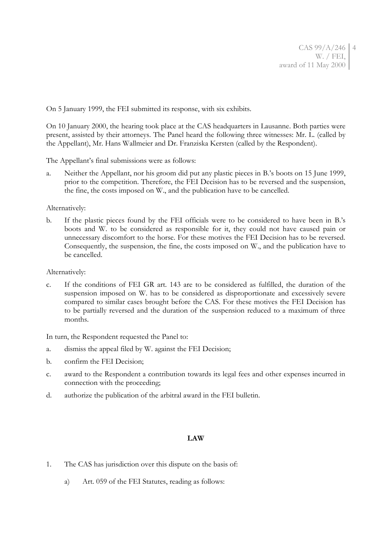On 5 January 1999, the FEI submitted its response, with six exhibits.

On 10 January 2000, the hearing took place at the CAS headquarters in Lausanne. Both parties were present, assisted by their attorneys. The Panel heard the following three witnesses: Mr. L. (called by the Appellant), Mr. Hans Wallmeier and Dr. Franziska Kersten (called by the Respondent).

The Appellant's final submissions were as follows:

a. Neither the Appellant, nor his groom did put any plastic pieces in B.'s boots on 15 June 1999, prior to the competition. Therefore, the FEI Decision has to be reversed and the suspension, the fine, the costs imposed on W., and the publication have to be cancelled.

Alternatively:

b. If the plastic pieces found by the FEI officials were to be considered to have been in B.'s boots and W. to be considered as responsible for it, they could not have caused pain or unnecessary discomfort to the horse. For these motives the FEI Decision has to be reversed. Consequently, the suspension, the fine, the costs imposed on W., and the publication have to be cancelled.

Alternatively:

c. If the conditions of FEI GR art. 143 are to be considered as fulfilled, the duration of the suspension imposed on W. has to be considered as disproportionate and excessively severe compared to similar cases brought before the CAS. For these motives the FEI Decision has to be partially reversed and the duration of the suspension reduced to a maximum of three months.

In turn, the Respondent requested the Panel to:

- a. dismiss the appeal filed by W. against the FEI Decision;
- b. confirm the FEI Decision;
- c. award to the Respondent a contribution towards its legal fees and other expenses incurred in connection with the proceeding;
- d. authorize the publication of the arbitral award in the FEI bulletin.

## **LAW**

- 1. The CAS has jurisdiction over this dispute on the basis of:
	- a) Art. 059 of the FEI Statutes, reading as follows: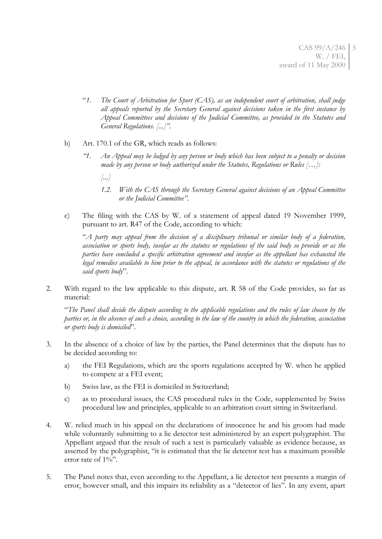- "*1. The Court of Arbitration for Sport (CAS), as an independent court of arbitration, shall judge all appeals reported by the Secretary General against decisions taken in the first instance by Appeal Committees and decisions of the Judicial Committee, as provided in the Statutes and General Regulations. [...]"*.
- b) Art. 170.1 of the GR, which reads as follows:
	- *"1. An Appeal may be lodged by any person or body which has been subject to a penalty or decision made by any person or body authorized under the Statutes, Regulations or Rules […]:*
		- *[...]*
		- *1.2. With the CAS through the Secretary General against decisions of an Appeal Committee or the Judicial Committee"*.
- c) The filing with the CAS by W. of a statement of appeal dated 19 November 1999, pursuant to art. R47 of the Code, according to which:

"*A party may appeal from the decision of a disciplinary tribunal or similar body of a federation, association or sports body, insofar as the statutes or regulations of the said body so provide or as the parties have concluded a specific arbitration agreement and insofar as the appellant has exhausted the legal remedies available to him prior to the appeal, in accordance with the statutes or regulations of the said sports body*".

2. With regard to the law applicable to this dispute, art. R 58 of the Code provides, so far as material:

"*The Panel shall decide the dispute according to the applicable regulations and the rules of law chosen by the parties or, in the absence of such a choice, according to the law of the country in which the federation, association or sports body is domiciled*".

- 3. In the absence of a choice of law by the parties, the Panel determines that the dispute has to be decided according to:
	- a) the FEI Regulations, which are the sports regulations accepted by W. when he applied to compete at a FEI event;
	- b) Swiss law, as the FEI is domiciled in Switzerland;
	- c) as to procedural issues, the CAS procedural rules in the Code, supplemented by Swiss procedural law and principles, applicable to an arbitration court sitting in Switzerland.
- 4. W. relied much in his appeal on the declarations of innocence he and his groom had made while voluntarily submitting to a lie detector test administered by an expert polygraphist. The Appellant argued that the result of such a test is particularly valuable as evidence because, as asserted by the polygraphist, "it is estimated that the lie detector test has a maximum possible error rate of  $1\%$ ".
- 5. The Panel notes that, even according to the Appellant, a lie detector test presents a margin of error, however small, and this impairs its reliability as a "detector of lies". In any event, apart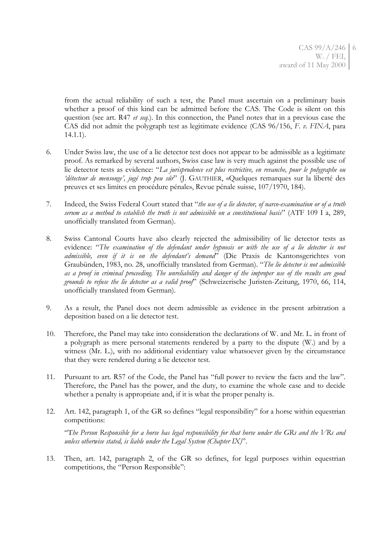from the actual reliability of such a test, the Panel must ascertain on a preliminary basis whether a proof of this kind can be admitted before the CAS. The Code is silent on this question (see art. R47 *et seq.*). In this connection, the Panel notes that in a previous case the CAS did not admit the polygraph test as legitimate evidence (CAS 96/156, *F. v. FINA*, para 14.1.1).

- 6. Under Swiss law, the use of a lie detector test does not appear to be admissible as a legitimate proof. As remarked by several authors, Swiss case law is very much against the possible use of lie detector tests as evidence: "*La jurisprudence est plus restrictive, en revanche, pour le polygraphe ou "détecteur de mensonge", jugé trop peu sûr*" (J. GAUTHIER, «Quelques remarques sur la liberté des preuves et ses limites en procédure pénale», Revue pénale suisse, 107/1970, 184).
- 7. Indeed, the Swiss Federal Court stated that "*the use of a lie detector, of narco-examination or of a truth serum as a method to establish the truth is not admissible on a constitutional basis*" (ATF 109 I a, 289, unofficially translated from German).
- 8. Swiss Cantonal Courts have also clearly rejected the admissibility of lie detector tests as evidence: "*The examination of the defendant under hypnosis or with the use of a lie detector is not admissible, even if it is on the defendant"s demand*" (Die Praxis de Kantonsgerichtes von Graubünden, 1983, no. 28, unofficially translated from German). "*The lie detector is not admissible as a proof in criminal proceeding. The unreliability and danger of the improper use of the results are good grounds to refuse the lie detector as a valid proof*" (Schweizerische Juristen-Zeitung, 1970, 66, 114, unofficially translated from German).
- 9. As a result, the Panel does not deem admissible as evidence in the present arbitration a deposition based on a lie detector test.
- 10. Therefore, the Panel may take into consideration the declarations of W. and Mr. L. in front of a polygraph as mere personal statements rendered by a party to the dispute (W.) and by a witness (Mr. L.), with no additional evidentiary value whatsoever given by the circumstance that they were rendered during a lie detector test.
- 11. Pursuant to art. R57 of the Code, the Panel has "full power to review the facts and the law". Therefore, the Panel has the power, and the duty, to examine the whole case and to decide whether a penalty is appropriate and, if it is what the proper penalty is.
- 12. Art. 142, paragraph 1, of the GR so defines "legal responsibility" for a horse within equestrian competitions:

"T*he Person Responsible for a horse has legal responsibility for that horse under the GRs and the VRs and unless otherwise stated, is liable under the Legal System (Chapter IX)*".

13. Then, art. 142, paragraph 2, of the GR so defines, for legal purposes within equestrian competitions, the "Person Responsible":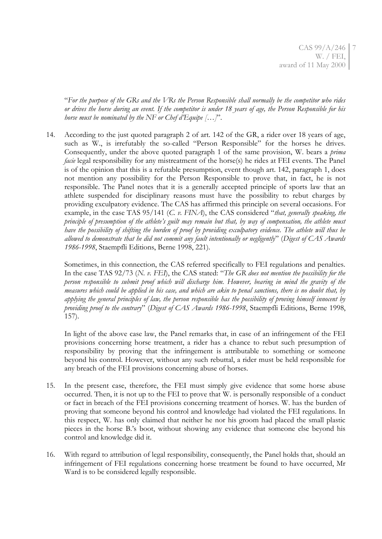"*For the purpose of the GRs and the VRs the Person Responsible shall normally be the competitor who rides or drives the horse during an event. If the competitor is under 18 years of age, the Person Responsible for his horse must be nominated by the NF or Chef d"Equipe […]*".

14. According to the just quoted paragraph 2 of art. 142 of the GR, a rider over 18 years of age, such as W., is irrefutably the so-called "Person Responsible" for the horses he drives. Consequently, under the above quoted paragraph 1 of the same provision, W. bears a *prima facie* legal responsibility for any mistreatment of the horse(s) he rides at FEI events. The Panel is of the opinion that this is a refutable presumption, event though art. 142, paragraph 1, does not mention any possibility for the Person Responsible to prove that, in fact, he is not responsible. The Panel notes that it is a generally accepted principle of sports law that an athlete suspended for disciplinary reasons must have the possibility to rebut charges by providing exculpatory evidence. The CAS has affirmed this principle on several occasions. For example, in the case TAS 95/141 (*C. v. FINA*), the CAS considered "*that, generally speaking, the principle of presumption of the athlete"s guilt may remain but that, by way of compensation, the athlete must have the possibility of shifting the burden of proof by providing exculpatory evidence. The athlete will thus be allowed to demonstrate that he did not commit any fault intentionally or negligently*" (*Digest of CAS Awards 1986-1998*, Staempfli Editions, Berne 1998, 221).

Sometimes, in this connection, the CAS referred specifically to FEI regulations and penalties. In the case TAS 92/73 (*N. v. FEI*), the CAS stated: "*The GR does not mention the possibility for the person responsible to submit proof which will discharge him. However, bearing in mind the gravity of the measures which could be applied in his case, and which are akin to penal sanctions, there is no doubt that, by applying the general principles of law, the person responsible has the possibility of proving himself innocent by providing proof to the contrary*" (*Digest of CAS Awards 1986-1998*, Staempfli Editions, Berne 1998, 157).

In light of the above case law, the Panel remarks that, in case of an infringement of the FEI provisions concerning horse treatment, a rider has a chance to rebut such presumption of responsibility by proving that the infringement is attributable to something or someone beyond his control. However, without any such rebuttal, a rider must be held responsible for any breach of the FEI provisions concerning abuse of horses.

- 15. In the present case, therefore, the FEI must simply give evidence that some horse abuse occurred. Then, it is not up to the FEI to prove that W. is personally responsible of a conduct or fact in breach of the FEI provisions concerning treatment of horses. W. has the burden of proving that someone beyond his control and knowledge had violated the FEI regulations. In this respect, W. has only claimed that neither he nor his groom had placed the small plastic pieces in the horse B.'s boot, without showing any evidence that someone else beyond his control and knowledge did it.
- 16. With regard to attribution of legal responsibility, consequently, the Panel holds that, should an infringement of FEI regulations concerning horse treatment be found to have occurred, Mr Ward is to be considered legally responsible.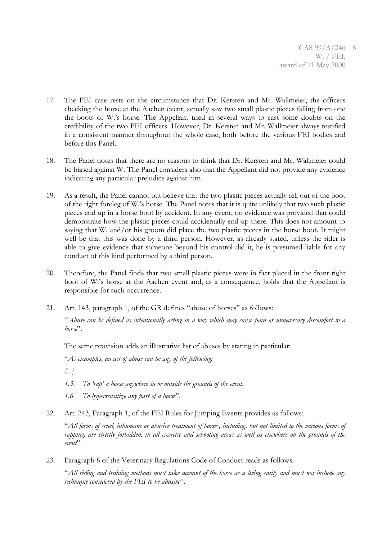- 17. The FEI case rests on the circumstance that Dr. Kersten and Mr. Wallmeier, the officers checking the horse at the Aachen event, actually saw two small plastic pieces falling from one the boots of W.'s horse. The Appellant tried in several ways to cast some doubts on the credibility of the two FEI officers. However, Dr. Kersten and Mr. Wallmeier always testified in a consistent manner throughout the whole case, both before the various FEI bodies and before this Panel.
- 18. The Panel notes that there are no reasons to think that Dr. Kersten and Mr. Wallmeier could be biased against W. The Panel considers also that the Appellant did not provide any evidence indicating any particular prejudice against him.
- 19. As a result, the Panel cannot but believe that the two plastic pieces actually fell out of the boot of the right foreleg of W.'s horse. The Panel notes that it is quite unlikely that two such plastic pieces end up in a horse boot by accident. In any event, no evidence was provided that could demonstrate how the plastic pieces could accidentally end up there. This does not amount to saying that W. and/or his groom did place the two plastic pieces in the horse boot. It might well be that this was done by a third person. However, as already stated, unless the rider is able to give evidence that someone beyond his control did it, he is presumed liable for any conduct of this kind performed by a third person.
- 20. Therefore, the Panel finds that two small plastic pieces were in fact placed in the front right boot of W.'s horse at the Aachen event and, as a consequence, holds that the Appellant is responsible for such occurrence.
- 21. Art. 143, paragraph 1, of the GR defines "abuse of horses" as follows:

"*Abuse can be defined as intentionally acting in a way which may cause pain or unnecessary discomfort to a horse*".

The same provision adds an illustrative list of abuses by stating in particular:

"*As examples, an act of abuse can be any of the following:*

*[...]*

- *1.5. To "rap" a horse anywhere in or outside the grounds of the event.*
- *1.6. To hypersensitize any part of a horse*".
- 22. Art. 243, Paragraph 1, of the FEI Rules for Jumping Events provides as follows:

"*All forms of cruel, inhumane or abusive treatment of horses, including, but not limited to the various forms of rapping, are strictly forbidden, in all exercise and schooling areas as well as elsewhere on the grounds of the event*".

23. Paragraph 8 of the Veterinary Regulations Code of Conduct reads as follows:

"*All riding and training methods must take account of the horse as a living entity and must not include any technique considered by the FEI to be abusive*".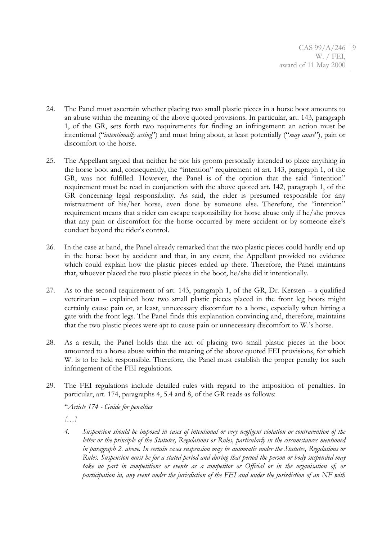- 24. The Panel must ascertain whether placing two small plastic pieces in a horse boot amounts to an abuse within the meaning of the above quoted provisions. In particular, art. 143, paragraph 1, of the GR, sets forth two requirements for finding an infringement: an action must be intentional ("*intentionally acting*") and must bring about, at least potentially ("*may cause*"), pain or discomfort to the horse.
- 25. The Appellant argued that neither he nor his groom personally intended to place anything in the horse boot and, consequently, the "intention" requirement of art. 143, paragraph 1, of the GR, was not fulfilled. However, the Panel is of the opinion that the said "intention" requirement must be read in conjunction with the above quoted art. 142, paragraph 1, of the GR concerning legal responsibility. As said, the rider is presumed responsible for any mistreatment of his/her horse, even done by someone else. Therefore, the "intention" requirement means that a rider can escape responsibility for horse abuse only if he/she proves that any pain or discomfort for the horse occurred by mere accident or by someone else's conduct beyond the rider's control.
- 26. In the case at hand, the Panel already remarked that the two plastic pieces could hardly end up in the horse boot by accident and that, in any event, the Appellant provided no evidence which could explain how the plastic pieces ended up there. Therefore, the Panel maintains that, whoever placed the two plastic pieces in the boot, he/she did it intentionally.
- 27. As to the second requirement of art. 143, paragraph 1, of the GR, Dr. Kersten a qualified veterinarian – explained how two small plastic pieces placed in the front leg boots might certainly cause pain or, at least, unnecessary discomfort to a horse, especially when hitting a gate with the front legs. The Panel finds this explanation convincing and, therefore, maintains that the two plastic pieces were apt to cause pain or unnecessary discomfort to W.'s horse.
- 28. As a result, the Panel holds that the act of placing two small plastic pieces in the boot amounted to a horse abuse within the meaning of the above quoted FEI provisions, for which W. is to be held responsible. Therefore, the Panel must establish the proper penalty for such infringement of the FEI regulations.
- 29. The FEI regulations include detailed rules with regard to the imposition of penalties. In particular, art. 174, paragraphs 4, 5.4 and 8, of the GR reads as follows:

"*Article 174 - Guide for penalties*

*[…]*

*4. Suspension should be imposed in cases of intentional or very negligent violation or contravention of the letter or the principle of the Statutes, Regulations or Rules, particularly in the circumstances mentioned in paragraph 2. above. In certain cases suspension may be automatic under the Statutes, Regulations or Rules. Suspension must be for a stated period and during that period the person or body suspended may take no part in competitions or events as a competitor or Official or in the organisation of, or participation in, any event under the jurisdiction of the FEI and under the jurisdiction of an NF with*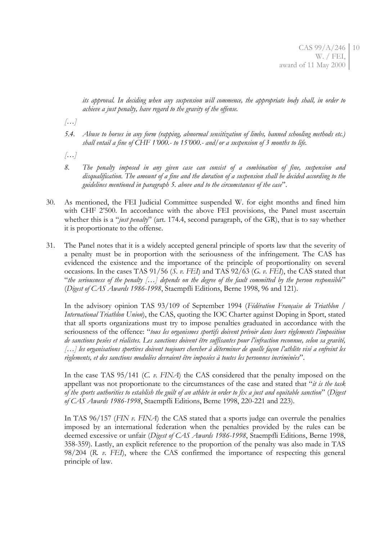*its approval. In deciding when any suspension will commence, the appropriate body shall, in order to achieve a just penalty, have regard to the gravity of the offense.*

*[…]*

- *5.4. Abuse to horses in any form (rapping, abnormal sensitization of limbs, banned schooling methods etc.) shall entail a fine of CHF 1"000.- to 15"000.- and/or a suspension of 3 months to life.*
- *[…]*
- *8. The penalty imposed in any given case can consist of a combination of fine, suspension and disqualification. The amount of a fine and the duration of a suspension shall be decided according to the guidelines mentioned in paragraph 5. above and to the circumstances of the case*".
- 30. As mentioned, the FEI Judicial Committee suspended W. for eight months and fined him with CHF 2'500. In accordance with the above FEI provisions, the Panel must ascertain whether this is a "*just penalty*" (art. 174.4, second paragraph, of the GR), that is to say whether it is proportionate to the offense.
- 31. The Panel notes that it is a widely accepted general principle of sports law that the severity of a penalty must be in proportion with the seriousness of the infringement. The CAS has evidenced the existence and the importance of the principle of proportionality on several occasions. In the cases TAS 91/56 (*S. v. FEI*) and TAS 92/63 (*G. v. FEI*), the CAS stated that "*the seriousness of the penalty […] depends on the degree of the fault committed by the person responsible*" (*Digest of CAS Awards 1986-1998*, Staempfli Editions, Berne 1998, 96 and 121).

In the advisory opinion TAS 93/109 of September 1994 (*Fédération Française de Triathlon / International Triathlon Union*), the CAS, quoting the IOC Charter against Doping in Sport, stated that all sports organizations must try to impose penalties graduated in accordance with the seriousness of the offence: "*tous les organismes sportifs doivent prévoir dans leurs règlements l"imposition de sanctions pesées et réalistes. Les sanctions doivent être suffisantes pour l"infraction reconnue, selon sa gravité, […] les organisations sportives doivent toujours chercher à déterminer de quelle façon l"athlète visé a enfreint les règlements, et des sanctions modulées devraient être imposées à toutes les personnes incriminées*".

In the case TAS 95/141 (*C. v. FINA*) the CAS considered that the penalty imposed on the appellant was not proportionate to the circumstances of the case and stated that "*it is the task of the sports authorities to establish the guilt of an athlete in order to fix a just and equitable sanction*" (*Digest of CAS Awards 1986-1998*, Staempfli Editions, Berne 1998, 220-221 and 223).

In TAS 96/157 (*FIN v. FINA*) the CAS stated that a sports judge can overrule the penalties imposed by an international federation when the penalties provided by the rules can be deemed excessive or unfair (*Digest of CAS Awards 1986-1998*, Staempfli Editions, Berne 1998, 358-359). Lastly, an explicit reference to the proportion of the penalty was also made in TAS 98/204 (*R. v. FEI*), where the CAS confirmed the importance of respecting this general principle of law.